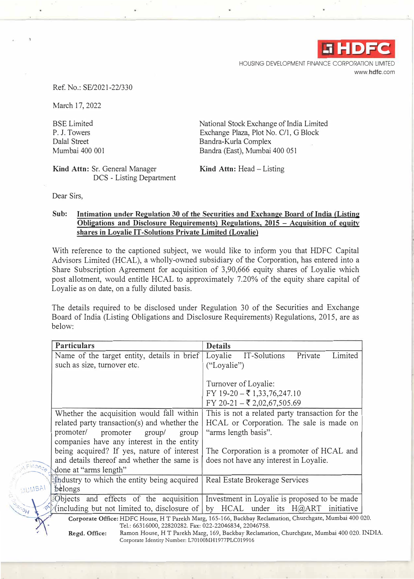

HOUSING DEVELOPMENT FINANCE CORPORATION LIMITED www.hdfc.com

Ref. No.: SE/2021-22/330

March 17, 2022

BSE Limited P. J. Towers Dalal Street Mumbai 400 001 National Stock Exchange of India Limited Exchange Plaza, Plot No. C/1, G Block Bandra-Kurla Complex Bandra (East), Mumbai 400 051

**Kind Attn:** Sr. General Manager DCS - Listing Department Kind Attn: Head - Listing

Dear Sirs,

## Sub: Intimation under Regulation 30 of the Securities and Exchange Board of India (Listing **Obligations and Disclosure Requirements) Regulations, 2015 - Acquisition of equity shares in Loyalie IT-Solutions Private Limited (Loyalie)**

With reference to the captioned subject, we would like to inform you that HDFC Capital Advisors Limited (HCAL), a wholly-owned subsidiary of the Corporation, has entered into a Share Subscription Agreement for acquisition of 3,90,666 equity shares of Loyalie which post allotment, would entitle HCAL to approximately 7.20% of the equity share capital of Loyalie as on date, on a fully diluted basis.

The details required to be disclosed under Regulation 30 of the Securities and Exchange Board of India (Listing Obligations and Disclosure Requirements) Regulations, 2015, are as below:

|                    | <b>Particulars</b>                                                               | <b>Details</b>                                                                                           |
|--------------------|----------------------------------------------------------------------------------|----------------------------------------------------------------------------------------------------------|
|                    | Name of the target entity, details in brief                                      | Loyalie<br>IT-Solutions<br>Private<br>Limited                                                            |
|                    | such as size, turnover etc.                                                      | ("Loyalie")                                                                                              |
|                    |                                                                                  |                                                                                                          |
|                    |                                                                                  | Turnover of Loyalie:                                                                                     |
|                    |                                                                                  | FY 19-20 – ₹ 1,33,76,247.10                                                                              |
|                    |                                                                                  | FY 20-21 – ₹ 2,02,67,505.69                                                                              |
|                    | Whether the acquisition would fall within                                        | This is not a related party transaction for the                                                          |
|                    | related party transaction(s) and whether the                                     | HCAL or Corporation. The sale is made on                                                                 |
|                    | promoter/<br>promoter<br>group/<br>group                                         | "arms length basis".                                                                                     |
|                    | companies have any interest in the entity                                        |                                                                                                          |
|                    | being acquired? If yes, nature of interest                                       | The Corporation is a promoter of HCAL and                                                                |
|                    | and details thereof and whether the same is                                      | does not have any interest in Loyalie.                                                                   |
| Finance            | done at "arms length"                                                            |                                                                                                          |
|                    | the dustry to which the entity being acquired                                    | Real Estate Brokerage Services                                                                           |
| MUMBAI             | belongs                                                                          |                                                                                                          |
|                    | Objects and effects of the acquisition                                           | Investment in Loyalie is proposed to be made                                                             |
| <b>AOUR</b><br>دي. | (including but not limited to, disclosure of by HCAL under its $H(\partial ART)$ | initiative                                                                                               |
|                    |                                                                                  | Corporate Office: HDFC House, H T Parekh Marg, 165-166, Backbay Reclamation, Churchgate, Mumbai 400 020. |
|                    | Tel.: 66316000, 22820282. Fax: 022-22046834, 22046758.                           |                                                                                                          |

,.

**Regd. Office:** Ramon House, H T Parekh Marg, 169, Backbay Reclamation, Churchgate, Mumbai 400 020. INDIA. Corporate Identity Number: L70100MH1977PLC019916